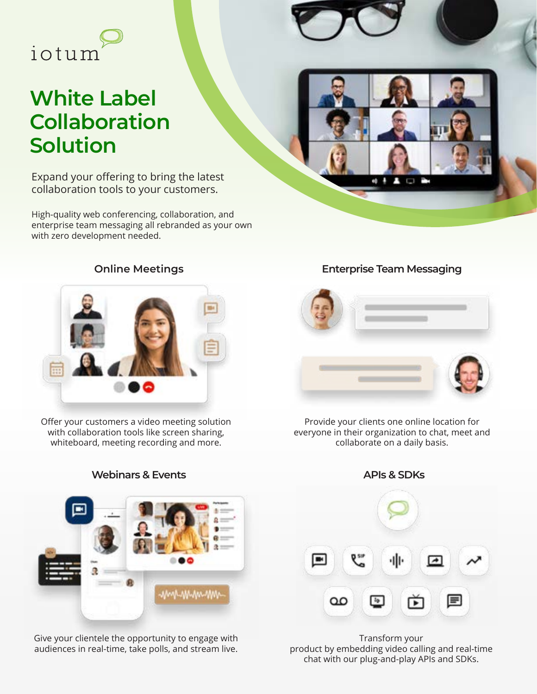

# **White Label Collaboration Solution**

Expand your offering to bring the latest collaboration tools to your customers.

High-quality web conferencing, collaboration, and enterprise team messaging all rebranded as your own with zero development needed.





Offer your customers a video meeting solution with collaboration tools like screen sharing, whiteboard, meeting recording and more.

#### **Webinars & Events APIs & SDKs**

*MARAMAMAMM* 

Give your clientele the opportunity to engage with audiences in real-time, take polls, and stream live.

#### **Online Meetings Enterprise Team Messaging**



Provide your clients one online location for everyone in their organization to chat, meet and collaborate on a daily basis.



Transform your product by embedding video calling and real-time chat with our plug-and-play APIs and SDKs.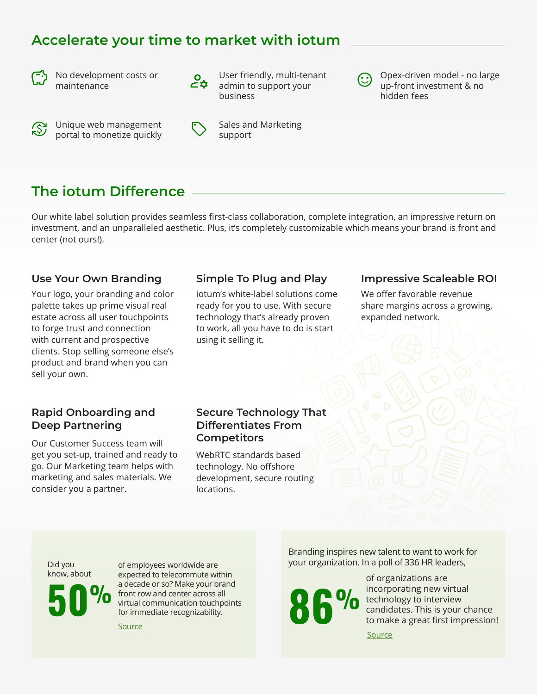### **Accelerate your time to market with iotum**



No development costs or maintenance



Unique web management portal to monetize quickly



User friendly, multi-tenant admin to support your business

Sales and Marketing support

### **The iotum Difference**

Our white label solution provides seamless first-class collaboration, complete integration, an impressive return on investment, and an unparalleled aesthetic. Plus, it's completely customizable which means your brand is front and center (not ours!).

#### **Use Your Own Branding**

Your logo, your branding and color palette takes up prime visual real estate across all user touchpoints to forge trust and connection with current and prospective clients. Stop selling someone else's product and brand when you can sell your own.

#### **Simple To Plug and Play**

iotum's white-label solutions come ready for you to use. With secure technology that's already proven to work, all you have to do is start using it selling it.

#### **Impressive Scaleable ROI**

Opex-driven model - no large up-front investment & no

hidden fees

We offer favorable revenue share margins across a growing, expanded network.

#### **Rapid Onboarding and Deep Partnering**

Our Customer Success team will get you set-up, trained and ready to go. Our Marketing team helps with marketing and sales materials. We consider you a partner.

#### **Secure Technology That Differentiates From Competitors**

WebRTC standards based technology. No offshore development, secure routing locations.

Did you know, about

**50 %** front row and center across all<br>for immediate recognizability. of employees worldwide are expected to telecommute within a decade or so? Make your brand front row and center across all virtual communication touchpoints for immediate recognizability.

[Source](https://financesonline.com/video-web-conferencing-statistics/)

Branding inspires new talent to want to work for your organization. In a poll of 336 HR leaders,

of organizations are incorporating new virtual **The Community of the Virtual** candidates. This is your chance to make a great first impression!

[Source](https://www.gartner.com/en/newsroom/press-releases/2020-04-30-gartner-hr-survey-shows-86--of-organizations-are-cond)